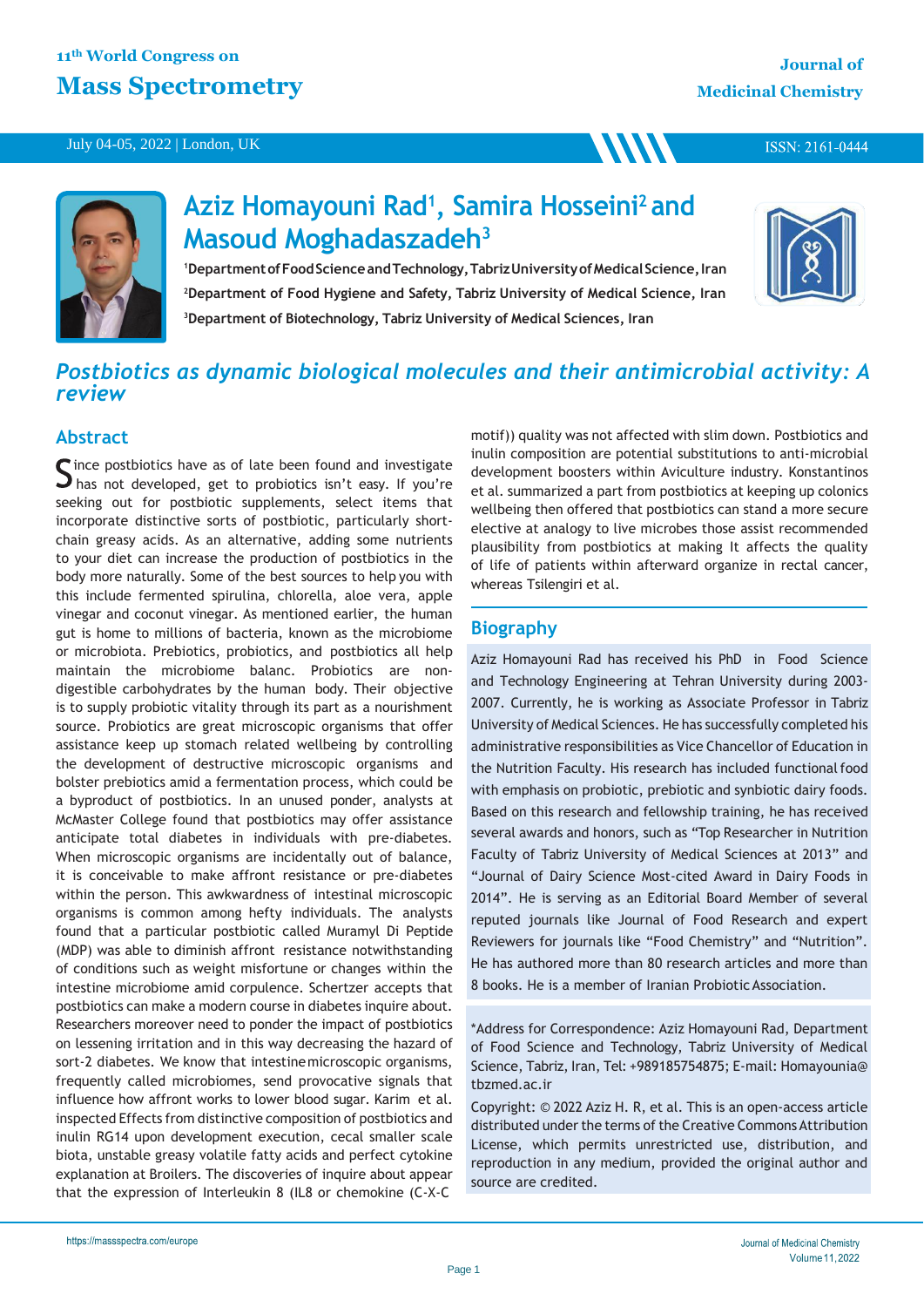#### July 04-05, 2022 | London, UK

ISSN: 2161-0444



# **Aziz Homayouni Rad<sup>1</sup> , Samira Hosseini<sup>2</sup>and Masoud Moghadaszadeh<sup>3</sup>**

<sup>1</sup>Department of Food Science and Technology, Tabriz University of Medical Science, Iran **<sup>2</sup>Department of Food Hygiene and Safety, Tabriz University of Medical Science, Iran <sup>3</sup>Department of Biotechnology, Tabriz University of Medical Sciences, Iran**



## *Postbiotics as dynamic biological molecules and their antimicrobial activity: A review*

### **Abstract**

ince postbiotics have as of late been found and investigate  $\Box$  has not developed, get to probiotics isn't easy. If you're seeking out for postbiotic supplements, select items that incorporate distinctive sorts of postbiotic, particularly shortchain greasy acids. As an alternative, adding some nutrients to your diet can increase the production of postbiotics in the body more naturally. Some of the best sources to help you with this include fermented spirulina, chlorella, aloe vera, apple vinegar and coconut vinegar. As mentioned earlier, the human gut is home to millions of bacteria, known as the microbiome or microbiota. Prebiotics, probiotics, and postbiotics all help maintain the microbiome balanc. Probiotics are nondigestible carbohydrates by the human body. Their objective is to supply probiotic vitality through its part as a nourishment source. Probiotics are great microscopic organisms that offer assistance keep up stomach related wellbeing by controlling the development of destructive microscopic organisms and bolster prebiotics amid a fermentation process, which could be a byproduct of postbiotics. In an unused ponder, analysts at McMaster College found that postbiotics may offer assistance anticipate total diabetes in individuals with pre-diabetes. When microscopic organisms are incidentally out of balance, it is conceivable to make affront resistance or pre-diabetes within the person. This awkwardness of intestinal microscopic organisms is common among hefty individuals. The analysts found that a particular postbiotic called Muramyl Di Peptide (MDP) was able to diminish affront resistance notwithstanding of conditions such as weight misfortune or changes within the intestine microbiome amid corpulence. Schertzer accepts that postbiotics can make a modern course in diabetes inquire about. Researchers moreover need to ponder the impact of postbiotics on lessening irritation and in this way decreasing the hazard of sort-2 diabetes. We know that intestinemicroscopic organisms, frequently called microbiomes, send provocative signals that influence how affront works to lower blood sugar. Karim et al. inspected Effects from distinctive composition of postbiotics and inulin RG14 upon development execution, cecal smaller scale biota, unstable greasy volatile fatty acids and perfect cytokine explanation at Broilers. The discoveries of inquire about appear that the expression of Interleukin 8 (IL8 or chemokine (C-X-C

motif)) quality was not affected with slim down. Postbiotics and inulin composition are potential substitutions to anti-microbial development boosters within Aviculture industry. Konstantinos et al. summarized a part from postbiotics at keeping up colonics wellbeing then offered that postbiotics can stand a more secure elective at analogy to live microbes those assist recommended plausibility from postbiotics at making It affects the quality of life of patients within afterward organize in rectal cancer, whereas Tsilengiri et al.

**MM** 

## **Biography**

Aziz Homayouni Rad has received his PhD in Food Science and Technology Engineering at Tehran University during 2003- 2007. Currently, he is working as Associate Professor in Tabriz University of Medical Sciences. He has successfully completed his administrative responsibilities as Vice Chancellor of Education in the Nutrition Faculty. His research has included functional food with emphasis on probiotic, prebiotic and synbiotic dairy foods. Based on this research and fellowship training, he has received several awards and honors, such as "Top Researcher in Nutrition Faculty of Tabriz University of Medical Sciences at 2013" and "Journal of Dairy Science Most-cited Award in Dairy Foods in 2014". He is serving as an Editorial Board Member of several reputed journals like Journal of Food Research and expert Reviewers for journals like "Food Chemistry" and "Nutrition". He has authored more than 80 research articles and more than 8 books. He is a member of Iranian Probiotic Association.

\*Address for Correspondence: Aziz Homayouni Rad, Department of Food Science and Technology, Tabriz University of Medical Science, Tabriz, Iran, Tel: +989185754875; E-mail: Homayounia@ tbzmed.ac.ir

Copyright: © 2022 Aziz H. R, et al. This is an open-access article distributed under the terms of the Creative Commons Attribution License, which permits unrestricted use, distribution, and reproduction in any medium, provided the original author and source are credited.